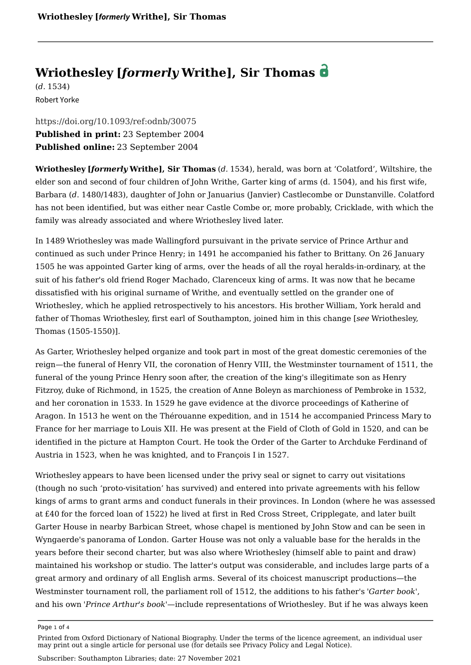# **Wriothesley [***formerly* **Writhe], Sir Thomas**

(*d.* 1534) Robert Yorke

<https://doi.org/10.1093/ref:odnb/30075> **Published in print:** 23 September 2004 **Published online:** 23 September 2004

**Wriothesley [***formerly* **Writhe], Sir Thomas** (*d.* 1534), herald, was born at 'Colatford', Wiltshire, the elder son and second of four children of [John Writhe, Garter king of arms \(d. 1504\),](https://www.oxforddnb.com/documentId/odnb-9780198614128-e-30074) and his first wife, Barbara (*d*. 1480/1483), daughter of John or Januarius (Janvier) Castlecombe or Dunstanville. Colatford has not been identified, but was either near Castle Combe or, more probably, Cricklade, with which the family was already associated and where Wriothesley lived later.

In 1489 Wriothesley was made Wallingford pursuivant in the private service of Prince Arthur and continued as such under Prince Henry; in 1491 he accompanied his father to Brittany. On 26 January 1505 he was appointed Garter king of arms, over the heads of all the royal heralds-in-ordinary, at the suit of his father's old friend Roger Machado, Clarenceux king of arms. It was now that he became dissatisfied with his original surname of Writhe, and eventually settled on the grander one of Wriothesley, which he applied retrospectively to his ancestors. His brother William, York herald and father of Thomas Wriothesley, first earl of Southampton, joined him in this change [*see* [Wriothesley,](https://www.oxforddnb.com/documentId/odnb-9780198614128-e-30076)  [Thomas \(1505-1550\)](https://www.oxforddnb.com/documentId/odnb-9780198614128-e-30076)].

As Garter, Wriothesley helped organize and took part in most of the great domestic ceremonies of the reign—the funeral of Henry VII, the coronation of Henry VIII, the Westminster tournament of 1511, the funeral of the young Prince Henry soon after, the creation of the king's illegitimate son as Henry Fitzroy, duke of Richmond, in 1525, the creation of Anne Boleyn as marchioness of Pembroke in 1532, and her coronation in 1533. In 1529 he gave evidence at the divorce proceedings of Katherine of Aragon. In 1513 he went on the Thérouanne expedition, and in 1514 he accompanied Princess Mary to France for her marriage to Louis XII. He was present at the Field of Cloth of Gold in 1520, and can be identified in the picture at Hampton Court. He took the Order of the Garter to Archduke Ferdinand of Austria in 1523, when he was knighted, and to François I in 1527.

Wriothesley appears to have been licensed under the privy seal or signet to carry out visitations (though no such 'proto-visitation' has survived) and entered into private agreements with his fellow kings of arms to grant arms and conduct funerals in their provinces. In London (where he was assessed at £40 for the forced loan of 1522) he lived at first in Red Cross Street, Cripplegate, and later built Garter House in nearby Barbican Street, whose chapel is mentioned by John Stow and can be seen in Wyngaerde's panorama of London. Garter House was not only a valuable base for the heralds in the years before their second charter, but was also where Wriothesley (himself able to paint and draw) maintained his workshop or studio. The latter's output was considerable, and includes large parts of a great armory and ordinary of all English arms. Several of its choicest manuscript productions—the Westminster tournament roll, the parliament roll of 1512, the additions to his father's *'Garter book'*, and his own *'Prince Arthur's book'*—include representations of Wriothesley. But if he was always keen

Page 1 of 4

Printed from Oxford Dictionary of National Biography. Under the terms of the licence agreement, an individual user may print out a single article for personal use (for details see Privacy Policy and Legal Notice).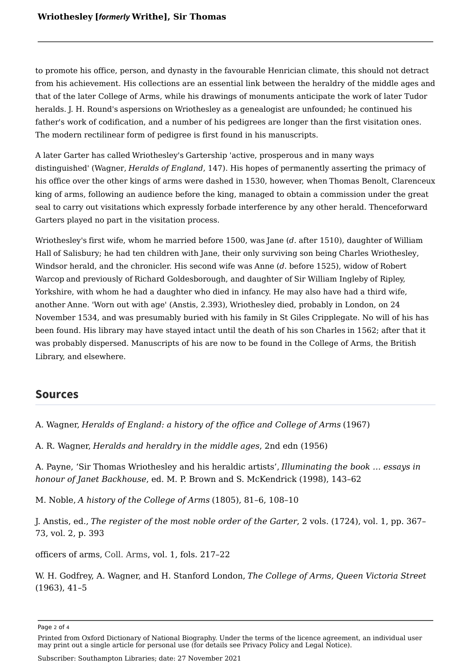to promote his office, person, and dynasty in the favourable Henrician climate, this should not detract from his achievement. His collections are an essential link between the heraldry of the middle ages and that of the later College of Arms, while his drawings of monuments anticipate the work of later Tudor heralds. J. H. Round's aspersions on Wriothesley as a genealogist are unfounded; he continued his father's work of codification, and a number of his pedigrees are longer than the first visitation ones. The modern rectilinear form of pedigree is first found in his manuscripts.

A later Garter has called Wriothesley's Gartership 'active, prosperous and in many ways distinguished' (Wagner, *Heralds of England*, 147). His hopes of permanently asserting the primacy of his office over the other kings of arms were dashed in 1530, however, when Thomas Benolt, Clarenceux king of arms, following an audience before the king, managed to obtain a commission under the great seal to carry out visitations which expressly forbade interference by any other herald. Thenceforward Garters played no part in the visitation process.

Wriothesley's first wife, whom he married before 1500, was Jane (*d*. after 1510), daughter of William Hall of Salisbury; he had ten children with Jane, their only surviving son being [Charles Wriothesley,](https://www.oxforddnb.com/documentId/odnb-9780198614128-e-30071) Windsor herald, and the chronicler. His second wife was Anne (*d*. before 1525), widow of Robert Warcop and previously of Richard Goldesborough, and daughter of Sir William Ingleby of Ripley, Yorkshire, with whom he had a daughter who died in infancy. He may also have had a third wife, another Anne. 'Worn out with age' (Anstis, 2.393), Wriothesley died, probably in London, on 24 November 1534, and was presumably buried with his family in St Giles Cripplegate. No will of his has been found. His library may have stayed intact until the death of his son Charles in 1562; after that it was probably dispersed. Manuscripts of his are now to be found in the College of Arms, the British Library, and elsewhere.

## **Sources**

A. Wagner, *Heralds of England: a history of the office and College of Arms* (1967)

A. R. Wagner, *Heralds and heraldry in the middle ages*, 2nd edn (1956)

A. Payne, 'Sir Thomas Wriothesley and his heraldic artists', *Illuminating the book … essays in honour of Janet Backhouse*, ed. M. P. Brown and S. McKendrick (1998), 143–62

M. Noble, *A history of the College of Arms* (1805), 81–6, 108–10

J. Anstis, ed., *The register of the most noble order of the Garter*, 2 vols. (1724), vol. 1, pp. 367– 73, vol. 2, p. 393

officers of arms, Coll. Arms, vol. 1, fols. 217–22

W. H. Godfrey, A. Wagner, and H. Stanford London, *The College of Arms, Queen Victoria Street* (1963), 41–5

Page 2 of 4

Printed from Oxford Dictionary of National Biography. Under the terms of the licence agreement, an individual user may print out a single article for personal use (for details see Privacy Policy and Legal Notice).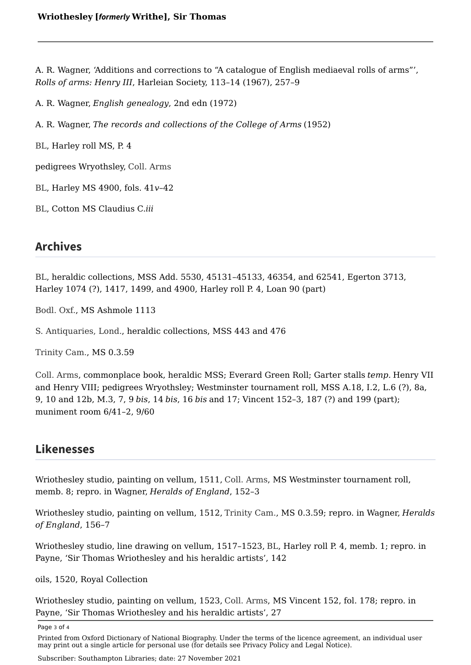A. R. Wagner, 'Additions and corrections to "A catalogue of English mediaeval rolls of arms"', *Rolls of arms: Henry III*, Harleian Society, 113–14 (1967), 257–9

A. R. Wagner, *English genealogy*, 2nd edn (1972)

A. R. Wagner, *The records and collections of the College of Arms* (1952)

BL, Harley roll MS, P. 4

pedigrees Wryothsley, Coll. Arms

, Harley MS 4900, fols. 41*v*–42 BL

, Cotton MS Claudius C.*iii* BL

# **Archives**

BL, heraldic collections, MSS Add. 5530, 45131-45133, 46354, and 62541, Egerton 3713, Harley 1074 (?), 1417, 1499, and 4900, Harley roll P. 4, Loan 90 (part)

Bodl. Oxf., MS Ashmole 1113

S. Antiquaries, Lond., heraldic collections, MSS 443 and 476

Trinity Cam., MS 0.3.59

, commonplace book, heraldic MSS; Everard Green Roll; Garter stalls *temp.* Henry VII Coll. Arms and Henry VIII; pedigrees Wryothsley; Westminster tournament roll, MSS A.18, I.2, L.6 (?), 8a, 9, 10 and 12b, M.3, 7, 9 *bis*, 14 *bis*, 16 *bis* and 17; Vincent 152–3, 187 (?) and 199 (part); muniment room 6/41–2, 9/60

## **Likenesses**

Wriothesley studio, painting on vellum, 1511, Coll. Arms, MS Westminster tournament roll, memb. 8; repro. in Wagner, *Heralds of England*, 152–3

Wriothesley studio, painting on vellum, 1512, Trinity Cam., MS 0.3.59; repro. in Wagner, *Heralds of England*, 156–7

Wriothesley studio, line drawing on vellum, 1517–1523, BL, Harley roll P. 4, memb. 1; repro. in Payne, 'Sir Thomas Wriothesley and his heraldic artists', 142

oils, 1520, Royal Collection

Wriothesley studio, painting on vellum, 1523, Coll. Arms, MS Vincent 152, fol. 178; repro. in Payne, 'Sir Thomas Wriothesley and his heraldic artists', 27

Page 3 of 4

Subscriber: Southampton Libraries; date: 27 November 2021

Printed from Oxford Dictionary of National Biography. Under the terms of the licence agreement, an individual user may print out a single article for personal use (for details see Privacy Policy and Legal Notice).